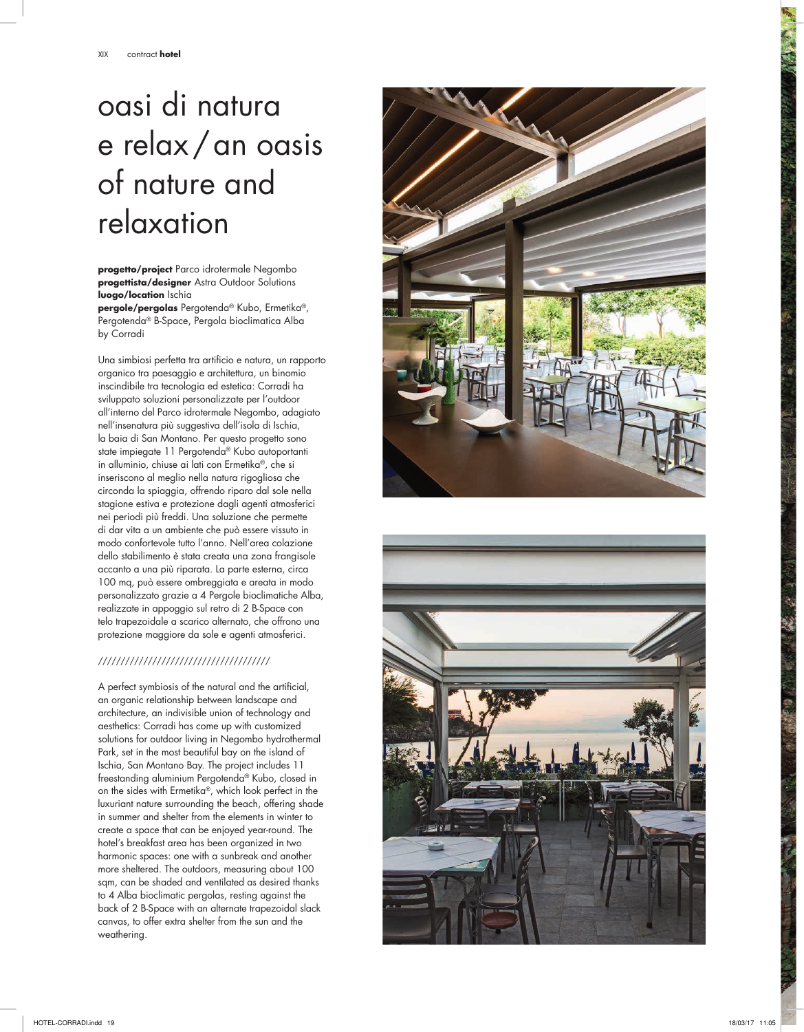## oasi di natura e relax / an oasis of nature and relaxation

**progetto/project** Parco idrotermale Negombo **progettista/designer** Astra Outdoor Solutions **luogo/location** Ischia

**pergole/pergolas** Pergotenda® Kubo, Ermetika®, Pergotenda ® B-Space, Pergola bioclimatica Alba by Corradi

Una simbiosi perfetta tra artificio e natura, un rapporto organico tra paesaggio e architettura, un binomio inscindibile tra tecnologia ed estetica: Corradi ha sviluppato soluzioni personalizzate per l'outdoor all'interno del Parco idrotermale Negombo, adagiato nell'insenatura più suggestiva dell'isola di Ischia, la baia di San Montano. Per questo progetto sono state impiegate 11 Pergotenda ® Kubo autoportanti in alluminio, chiuse ai lati con Ermetika ®, che si inseriscono al meglio nella natura rigogliosa che circonda la spiaggia, offrendo riparo dal sole nella stagione estiva e protezione dagli agenti atmosferici nei periodi più freddi. Una soluzione che permette di dar vita a un ambiente che può essere vissuto in modo confortevole tutto l'anno. Nell'area colazione dello stabilimento è stata creata una zona frangisole accanto a una più riparata. La parte esterna, circa 100 mq, può essere ombreggiata e areata in modo personalizzato grazie a 4 Pergole bioclimatiche Alba, realizzate in appoggio sul retro di 2 B-Space con telo trapezoidale a scarico alternato, che offrono una protezione maggiore da sole e agenti atmosferici.

## //////////////////////////////////////

A perfect symbiosis of the natural and the artificial, an organic relationship between landscape and architecture, an indivisible union of technology and aesthetics: Corradi has come up with customized solutions for outdoor living in Negombo hydrothermal Park, set in the most beautiful bay on the island of Ischia, San Montano Bay. The project includes 11 freestanding aluminium Pergotenda ® Kubo, closed in on the sides with Ermetika ®, which look perfect in the luxuriant nature surrounding the beach, offering shade in summer and shelter from the elements in winter to create a space that can be enjoyed year-round. The hotel's breakfast area has been organized in two harmonic spaces: one with a sunbreak and another more sheltered. The outdoors, measuring about 100 sqm, can be shaded and ventilated as desired thanks to 4 Alba bioclimatic pergolas, resting against the back of 2 B-Space with an alternate trapezoidal slack canvas, to offer extra shelter from the sun and the weathering.